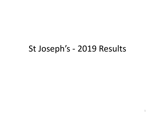# St Joseph's - 2019 Results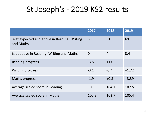# St Joseph's - 2019 KS2 results

|                                                          | 2017           | 2018           | 2019    |
|----------------------------------------------------------|----------------|----------------|---------|
| % at expected and above in Reading, Writing<br>and Maths | 59             | 61             | 69      |
| % at above in Reading, Writing and Maths                 | $\overline{0}$ | $\overline{4}$ | 3.4     |
| Reading progress                                         | $-3.5$         | $+1.0$         | $+1.11$ |
| <b>Writing progress</b>                                  | $-3.1$         | $-0.4$         | $+1.72$ |
| Maths progress                                           | $-1.9$         | $+0.3$         | $+3.39$ |
| Average scaled score in Reading                          | 103.3          | 104.1          | 102.5   |
| Average scaled score in Maths                            | 102.3          | 102.7          | 105.4   |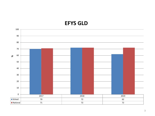## **EFYS GLD**

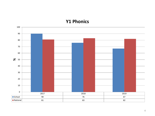### **Y1 Phonics**

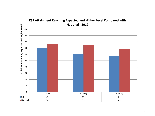

## **KS1 Attainment Reaching Expected and Higher Level Compared with**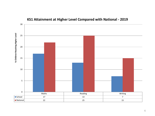

### **KS1 Attainment at Higher Level Compared with National - 2019**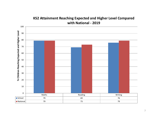

### **KS2 Attainment Reaching Expected and Higher Level Compared with National - 2019**